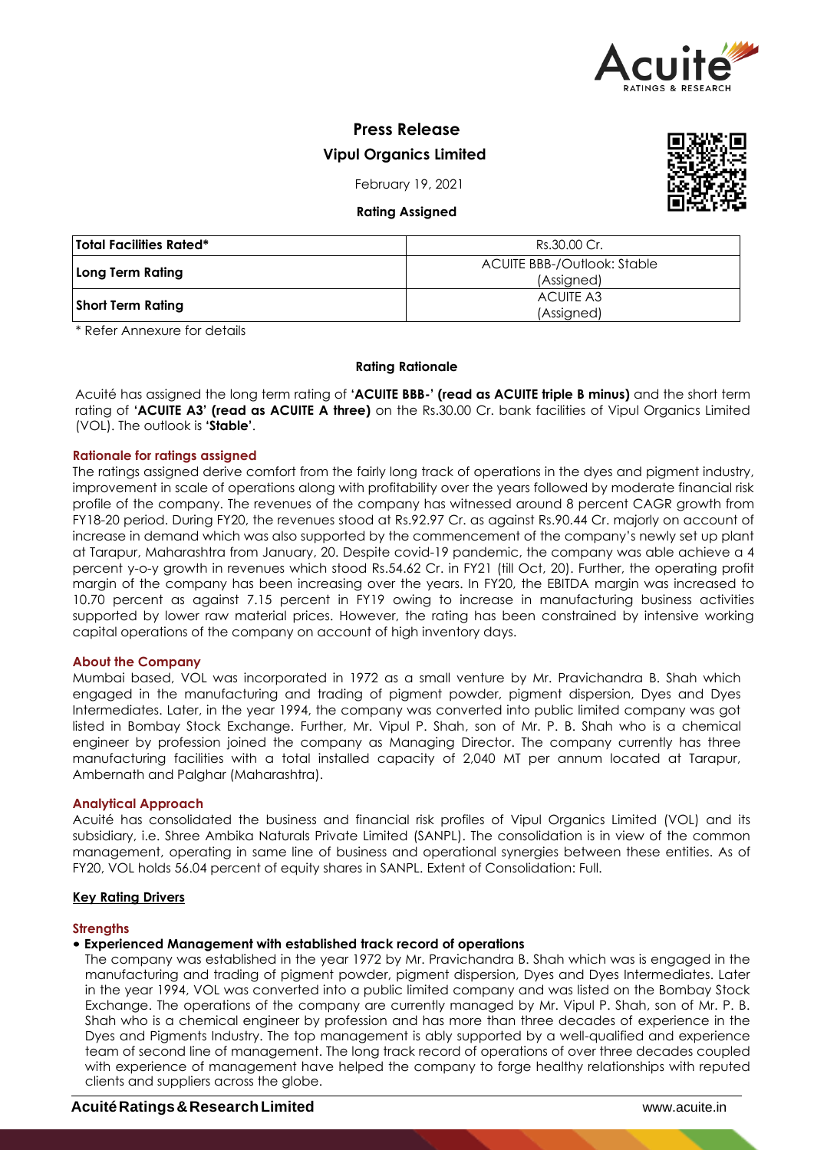

# **Press Release Vipul Organics Limited**

February 19, 2021

# **Rating Assigned**



| <b>Total Facilities Rated*</b> | Rs.30.00 Cr.                              |
|--------------------------------|-------------------------------------------|
| Long Term Rating               | ACUITE BBB-/Outlook: Stable<br>(Assigned) |
| <b>Short Term Rating</b>       | ACUITE A3<br>(Assigned)                   |

\* Refer Annexure for details

# **Rating Rationale**

Acuité has assigned the long term rating of **'ACUITE BBB-' (read as ACUITE triple B minus)** and the short term rating of **'ACUITE A3' (read as ACUITE A three)** on the Rs.30.00 Cr. bank facilities of Vipul Organics Limited (VOL). The outlook is **'Stable'**.

# **Rationale for ratings assigned**

The ratings assigned derive comfort from the fairly long track of operations in the dyes and pigment industry, improvement in scale of operations along with profitability over the years followed by moderate financial risk profile of the company. The revenues of the company has witnessed around 8 percent CAGR growth from FY18-20 period. During FY20, the revenues stood at Rs.92.97 Cr. as against Rs.90.44 Cr. majorly on account of increase in demand which was also supported by the commencement of the company's newly set up plant at Tarapur, Maharashtra from January, 20. Despite covid-19 pandemic, the company was able achieve a 4 percent y-o-y growth in revenues which stood Rs.54.62 Cr. in FY21 (till Oct, 20). Further, the operating profit margin of the company has been increasing over the years. In FY20, the EBITDA margin was increased to 10.70 percent as against 7.15 percent in FY19 owing to increase in manufacturing business activities supported by lower raw material prices. However, the rating has been constrained by intensive working capital operations of the company on account of high inventory days.

# **About the Company**

Mumbai based, VOL was incorporated in 1972 as a small venture by Mr. Pravichandra B. Shah which engaged in the manufacturing and trading of pigment powder, pigment dispersion, Dyes and Dyes Intermediates. Later, in the year 1994, the company was converted into public limited company was got listed in Bombay Stock Exchange. Further, Mr. Vipul P. Shah, son of Mr. P. B. Shah who is a chemical engineer by profession joined the company as Managing Director. The company currently has three manufacturing facilities with a total installed capacity of 2,040 MT per annum located at Tarapur, Ambernath and Palghar (Maharashtra).

# **Analytical Approach**

Acuité has consolidated the business and financial risk profiles of Vipul Organics Limited (VOL) and its subsidiary, i.e. Shree Ambika Naturals Private Limited (SANPL). The consolidation is in view of the common management, operating in same line of business and operational synergies between these entities. As of FY20, VOL holds 56.04 percent of equity shares in SANPL. Extent of Consolidation: Full.

# **Key Rating Drivers**

# **Strengths**

# • **Experienced Management with established track record of operations**

The company was established in the year 1972 by Mr. Pravichandra B. Shah which was is engaged in the manufacturing and trading of pigment powder, pigment dispersion, Dyes and Dyes Intermediates. Later in the year 1994, VOL was converted into a public limited company and was listed on the Bombay Stock Exchange. The operations of the company are currently managed by Mr. Vipul P. Shah, son of Mr. P. B. Shah who is a chemical engineer by profession and has more than three decades of experience in the Dyes and Pigments Industry. The top management is ably supported by a well-qualified and experience team of second line of management. The long track record of operations of over three decades coupled with experience of management have helped the company to forge healthy relationships with reputed clients and suppliers across the globe.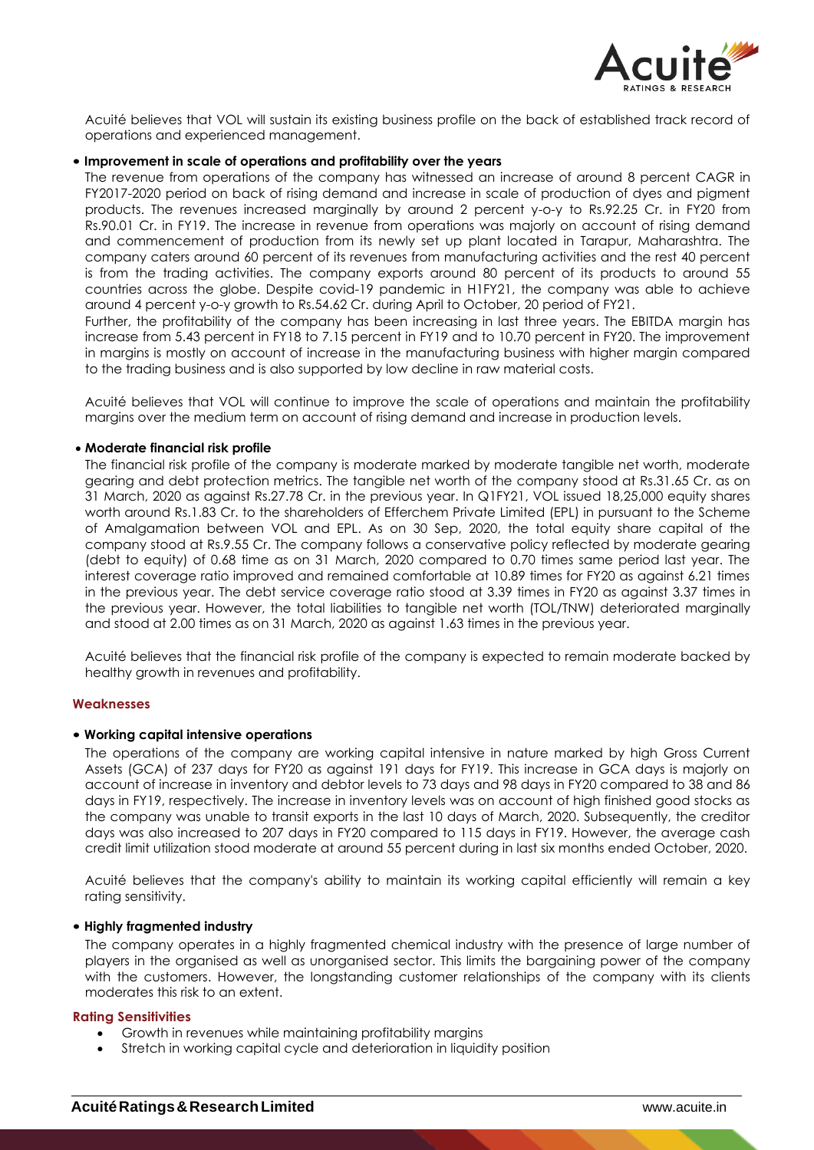

Acuité believes that VOL will sustain its existing business profile on the back of established track record of operations and experienced management.

## • **Improvement in scale of operations and profitability over the years**

The revenue from operations of the company has witnessed an increase of around 8 percent CAGR in FY2017-2020 period on back of rising demand and increase in scale of production of dyes and pigment products. The revenues increased marginally by around 2 percent y-o-y to Rs.92.25 Cr. in FY20 from Rs.90.01 Cr. in FY19. The increase in revenue from operations was majorly on account of rising demand and commencement of production from its newly set up plant located in Tarapur, Maharashtra. The company caters around 60 percent of its revenues from manufacturing activities and the rest 40 percent is from the trading activities. The company exports around 80 percent of its products to around 55 countries across the globe. Despite covid-19 pandemic in H1FY21, the company was able to achieve around 4 percent y-o-y growth to Rs.54.62 Cr. during April to October, 20 period of FY21.

Further, the profitability of the company has been increasing in last three years. The EBITDA margin has increase from 5.43 percent in FY18 to 7.15 percent in FY19 and to 10.70 percent in FY20. The improvement in margins is mostly on account of increase in the manufacturing business with higher margin compared to the trading business and is also supported by low decline in raw material costs.

Acuité believes that VOL will continue to improve the scale of operations and maintain the profitability margins over the medium term on account of rising demand and increase in production levels.

#### **Moderate financial risk profile**

The financial risk profile of the company is moderate marked by moderate tangible net worth, moderate gearing and debt protection metrics. The tangible net worth of the company stood at Rs.31.65 Cr. as on 31 March, 2020 as against Rs.27.78 Cr. in the previous year. In Q1FY21, VOL issued 18,25,000 equity shares worth around Rs.1.83 Cr. to the shareholders of Efferchem Private Limited (EPL) in pursuant to the Scheme of Amalgamation between VOL and EPL. As on 30 Sep, 2020, the total equity share capital of the company stood at Rs.9.55 Cr. The company follows a conservative policy reflected by moderate gearing (debt to equity) of 0.68 time as on 31 March, 2020 compared to 0.70 times same period last year. The interest coverage ratio improved and remained comfortable at 10.89 times for FY20 as against 6.21 times in the previous year. The debt service coverage ratio stood at 3.39 times in FY20 as against 3.37 times in the previous year. However, the total liabilities to tangible net worth (TOL/TNW) deteriorated marginally and stood at 2.00 times as on 31 March, 2020 as against 1.63 times in the previous year.

Acuité believes that the financial risk profile of the company is expected to remain moderate backed by healthy growth in revenues and profitability.

#### **Weaknesses**

#### • **Working capital intensive operations**

The operations of the company are working capital intensive in nature marked by high Gross Current Assets (GCA) of 237 days for FY20 as against 191 days for FY19. This increase in GCA days is majorly on account of increase in inventory and debtor levels to 73 days and 98 days in FY20 compared to 38 and 86 days in FY19, respectively. The increase in inventory levels was on account of high finished good stocks as the company was unable to transit exports in the last 10 days of March, 2020. Subsequently, the creditor days was also increased to 207 days in FY20 compared to 115 days in FY19. However, the average cash credit limit utilization stood moderate at around 55 percent during in last six months ended October, 2020.

Acuité believes that the company's ability to maintain its working capital efficiently will remain a key rating sensitivity.

#### • **Highly fragmented industry**

The company operates in a highly fragmented chemical industry with the presence of large number of players in the organised as well as unorganised sector. This limits the bargaining power of the company with the customers. However, the longstanding customer relationships of the company with its clients moderates this risk to an extent.

#### **Rating Sensitivities**

- Growth in revenues while maintaining profitability margins
- Stretch in working capital cycle and deterioration in liquidity position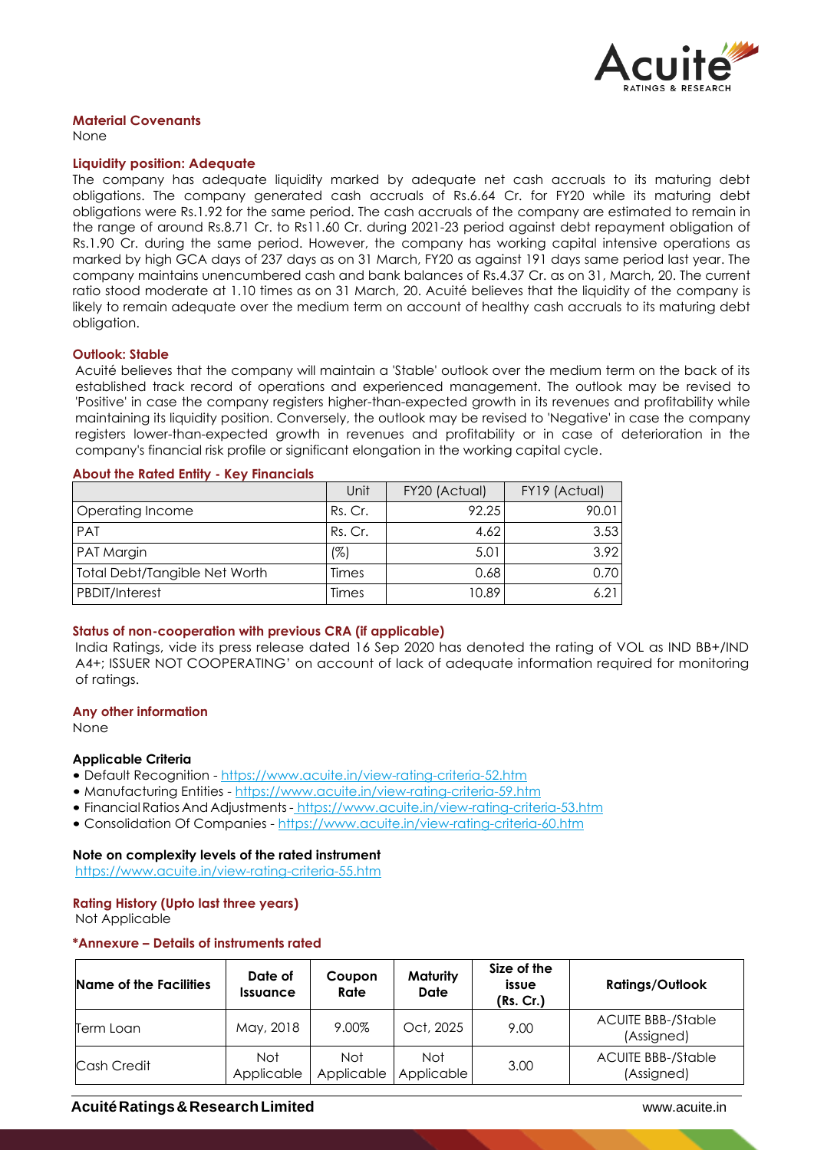

# **Material Covenants**

None

#### **Liquidity position: Adequate**

The company has adequate liquidity marked by adequate net cash accruals to its maturing debt obligations. The company generated cash accruals of Rs.6.64 Cr. for FY20 while its maturing debt obligations were Rs.1.92 for the same period. The cash accruals of the company are estimated to remain in the range of around Rs.8.71 Cr. to Rs11.60 Cr. during 2021-23 period against debt repayment obligation of Rs.1.90 Cr. during the same period. However, the company has working capital intensive operations as marked by high GCA days of 237 days as on 31 March, FY20 as against 191 days same period last year. The company maintains unencumbered cash and bank balances of Rs.4.37 Cr. as on 31, March, 20. The current ratio stood moderate at 1.10 times as on 31 March, 20. Acuité believes that the liquidity of the company is likely to remain adequate over the medium term on account of healthy cash accruals to its maturing debt obligation.

#### **Outlook: Stable**

Acuité believes that the company will maintain a 'Stable' outlook over the medium term on the back of its established track record of operations and experienced management. The outlook may be revised to 'Positive' in case the company registers higher-than-expected growth in its revenues and profitability while maintaining its liquidity position. Conversely, the outlook may be revised to 'Negative' in case the company registers lower-than-expected growth in revenues and profitability or in case of deterioration in the company's financial risk profile or significant elongation in the working capital cycle.

|                               | Unit    | FY20 (Actual) | FY19 (Actual) |
|-------------------------------|---------|---------------|---------------|
| Operating Income              | Rs. Cr. | 92.25         | 90.01         |
| PAT                           | Rs. Cr. | 4.62          | 3.53          |
| <b>PAT Margin</b>             | (%)     | 5.01          | 3.92          |
| Total Debt/Tangible Net Worth | Times   | 0.68          | 0.70          |
| <b>PBDIT/Interest</b>         | Times   | 10.89         | 6.21          |

# **About the Rated Entity - Key Financials**

# **Status of non-cooperation with previous CRA (if applicable)**

India Ratings, vide its press release dated 16 Sep 2020 has denoted the rating of VOL as IND BB+/IND A4+; ISSUER NOT COOPERATING' on account of lack of adequate information required for monitoring of ratings.

#### **Any other information**

None

#### **Applicable Criteria**

- Default Recognition https://www.acuite.in/view-rating-criteria-52.htm
- Manufacturing Entities https://www.acuite.in/view-rating-criteria-59.htm
- Financial Ratios And Adjustments- https://www.acuite.in/view-rating-criteria-53.htm
- Consolidation Of Companies https://www.acuite.in/view-rating-criteria-60.htm

# **Note on complexity levels of the rated instrument**

https://www.acuite.in/view-rating-criteria-55.htm

# **Rating History (Upto last three years)**

Not Applicable

#### **\*Annexure – Details of instruments rated**

| <b>Name of the Facilities</b> | Date of<br><b>Issuance</b> | Coupon<br>Rate    | <b>Maturity</b><br>Date | Size of the<br>issue<br>(Rs. Cr.) | <b>Ratings/Outlook</b>                  |
|-------------------------------|----------------------------|-------------------|-------------------------|-----------------------------------|-----------------------------------------|
| Term Loan                     | May, 2018                  | 9.00%             | Oct, 2025               | 9.00                              | <b>ACUITE BBB-/Stable</b><br>(Assigned) |
| Cash Credit                   | <b>Not</b><br>Applicable   | Not<br>Applicable | Not<br>Applicable       | 3.00                              | <b>ACUITE BBB-/Stable</b><br>(Assigned) |